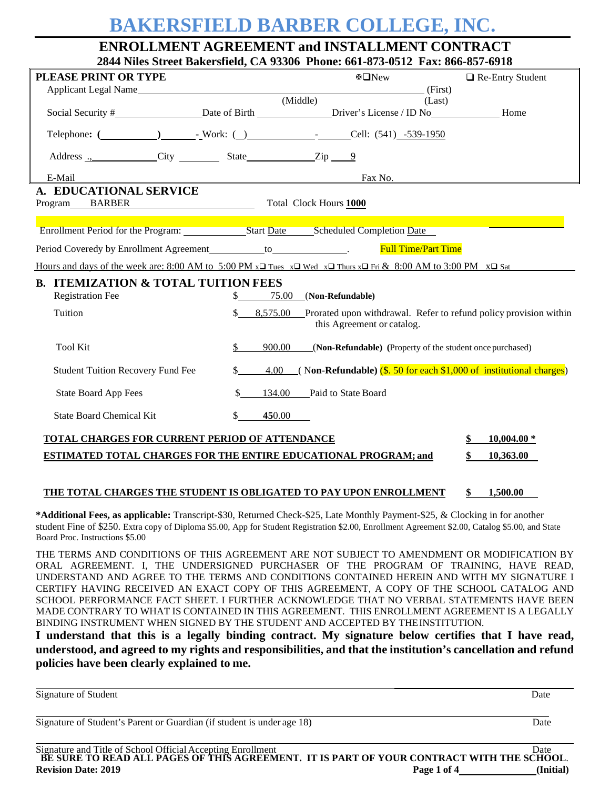# **BAKERSFIELD BARBER COLLEGE, INC.**

# **ENROLLMENT AGREEMENT and INSTALLMENT CONTRACT 2844 Niles Street Bakersfield, CA 93306 Phone: 661-873-0512 Fax: 866-857-6918**

| PLEASE PRINT OR TYPE                                                                                                                   |                          | ⊕□New                                                                                           | $\Box$ Re-Entry Student   |
|----------------------------------------------------------------------------------------------------------------------------------------|--------------------------|-------------------------------------------------------------------------------------------------|---------------------------|
|                                                                                                                                        |                          | (First)<br>(Middle)<br>(Last)                                                                   |                           |
|                                                                                                                                        |                          |                                                                                                 |                           |
|                                                                                                                                        |                          |                                                                                                 |                           |
|                                                                                                                                        |                          |                                                                                                 |                           |
| E-Mail                                                                                                                                 |                          | Fax No.                                                                                         |                           |
| A. EDUCATIONAL SERVICE<br>Program BARBER Total Clock Hours 1000                                                                        |                          |                                                                                                 |                           |
| Enrollment Period for the Program: Start Date Scheduled Completion Date                                                                |                          |                                                                                                 |                           |
| Period Coveredy by Enrollment Agreement___________ to_______________.                                                                  |                          | <b>Full Time/Part Time</b>                                                                      |                           |
| Hours and days of the week are: 8:00 AM to 5:00 PM $x\Box$ Tues $x\Box$ Wed $x\Box$ Thurs $x\Box$ Fri & 8:00 AM to 3:00 PM $x\Box$ Sat |                          |                                                                                                 |                           |
| <b>B. ITEMIZATION &amp; TOTAL TUITION FEES</b>                                                                                         |                          |                                                                                                 |                           |
| <b>Registration Fee</b>                                                                                                                | $\mathbb{S}$             | 75.00 (Non-Refundable)                                                                          |                           |
| Tuition                                                                                                                                | $\mathbb{S}$<br>8.575.00 | Prorated upon withdrawal. Refer to refund policy provision within<br>this Agreement or catalog. |                           |
| <b>Tool Kit</b>                                                                                                                        | \$<br>900.00             | (Non-Refundable) (Property of the student once purchased)                                       |                           |
| <b>Student Tuition Recovery Fund Fee</b>                                                                                               | $\mathbb{S}^-$<br>4.00   | $($ Non-Refundable) $(S. 50$ for each \$1,000 of institutional charges)                         |                           |
| <b>State Board App Fees</b>                                                                                                            | \$<br>134.00             | Paid to State Board                                                                             |                           |
| <b>State Board Chemical Kit</b>                                                                                                        | \$<br>450.00             |                                                                                                 |                           |
| TOTAL CHARGES FOR CURRENT PERIOD OF ATTENDANCE<br>ESTIMATED TOTAL CHARGES FOR THE ENTIRE EDUCATIONAL PROGRAM; and                      |                          |                                                                                                 | $10,004.00*$<br>10,363.00 |

#### **THE TOTAL CHARGES THE STUDENT IS OBLIGATED TO PAY UPON ENROLLMENT \$ 1,500.00**

**\*Additional Fees, as applicable:** Transcript-\$30, Returned Check-\$25, Late Monthly Payment-\$25, & Clocking in for another student Fine of \$250. Extra copy of Diploma \$5.00, App for Student Registration \$2.00, Enrollment Agreement \$2.00, Catalog \$5.00, and State Board Proc. Instructions \$5.00

THE TERMS AND CONDITIONS OF THIS AGREEMENT ARE NOT SUBJECT TO AMENDMENT OR MODIFICATION BY ORAL AGREEMENT. I, THE UNDERSIGNED PURCHASER OF THE PROGRAM OF TRAINING, HAVE READ, UNDERSTAND AND AGREE TO THE TERMS AND CONDITIONS CONTAINED HEREIN AND WITH MY SIGNATURE I CERTIFY HAVING RECEIVED AN EXACT COPY OF THIS AGREEMENT, A COPY OF THE SCHOOL CATALOG AND SCHOOL PERFORMANCE FACT SHEET. I FURTHER ACKNOWLEDGE THAT NO VERBAL STATEMENTS HAVE BEEN MADE CONTRARY TO WHAT IS CONTAINED IN THIS AGREEMENT. THIS ENROLLMENT AGREEMENT IS A LEGALLY BINDING INSTRUMENT WHEN SIGNED BY THE STUDENT AND ACCEPTED BY THEINSTITUTION.

**I understand that this is a legally binding contract. My signature below certifies that I have read, understood, and agreed to my rights and responsibilities, and that the institution's cancellation and refund policies have been clearly explained to me.**

Signature of Student Date Date of Student and Student and Student and Student and Date Date Date of Student and Date of Student and Date of Student and Date of Student and Date of Student and Date of Student and Date of St

Signature of Student's Parent or Guardian (if student is under age 18) Date

| Signature and Title of School Official Accepting Enrollment                               |             | Date      |
|-------------------------------------------------------------------------------------------|-------------|-----------|
| BE SURE TO READ ALL PAGES OF THIS AGREEMENT. IT IS PART OF YOUR CONTRACT WITH THE SCHOOL. |             |           |
| <b>Revision Date: 2019</b>                                                                | Page 1 of 4 | (Initial) |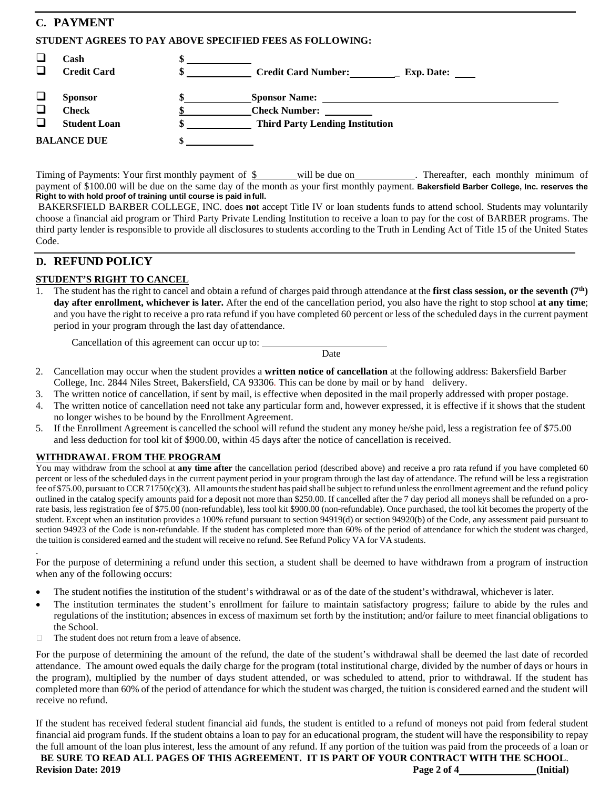# **C. PAYMENT**

#### **STUDENT AGREES TO PAY ABOVE SPECIFIED FEES AS FOLLOWING:**

| $\Box$                     | Cash<br><b>Credit Card</b>                            | <b>Credit Card Number:</b>                                                             | <b>Exp. Date:</b> |
|----------------------------|-------------------------------------------------------|----------------------------------------------------------------------------------------|-------------------|
| $\Box$<br>$\Box$<br>$\Box$ | <b>Sponsor</b><br><b>Check</b><br><b>Student Loan</b> | <b>Sponsor Name:</b><br><b>Check Number:</b><br><b>Third Party Lending Institution</b> |                   |
|                            | <b>BALANCE DUE</b>                                    |                                                                                        |                   |

Timing of Payments: Your first monthly payment of  $\frac{1}{2}$  will be due on . Thereafter, each monthly minimum of payment of \$100.00 will be due on the same day of the month as your first monthly payment. **Bakersfield Barber College, Inc. reserves the Right to with hold proof of training until course is paid infull.**

BAKERSFIELD BARBER COLLEGE, INC. does **no**t accept Title IV or loan students funds to attend school. Students may voluntarily choose a financial aid program or Third Party Private Lending Institution to receive a loan to pay for the cost of BARBER programs. The third party lender is responsible to provide all disclosures to students according to the Truth in Lending Act of Title 15 of the United States Code.

# **D. REFUND POLICY**

#### **STUDENT'S RIGHT TO CANCEL**

1. The student has the right to cancel and obtain a refund of charges paid through attendance at the **first class session, or the seventh (7th) day after enrollment, whichever is later.** After the end of the cancellation period, you also have the right to stop school **at any time**; and you have the right to receive a pro rata refund if you have completed 60 percent or less of the scheduled days in the current payment period in your program through the last day of attendance.

Cancellation of this agreement can occur up to:

Date

- 2. Cancellation may occur when the student provides a **written notice of cancellation** at the following address: Bakersfield Barber College, Inc. 2844 Niles Street, Bakersfield, CA 93306. This can be done by mail or by hand delivery.
- 3. The written notice of cancellation, if sent by mail, is effective when deposited in the mail properly addressed with proper postage.
- The written notice of cancellation need not take any particular form and, however expressed, it is effective if it shows that the student no longer wishes to be bound by the Enrollment Agreement.
- 5. If the Enrollment Agreement is cancelled the school will refund the student any money he/she paid, less a registration fee of \$75.00 and less deduction for tool kit of \$900.00, within 45 days after the notice of cancellation is received.

#### **WITHDRAWAL FROM THE PROGRAM**

.

You may withdraw from the school at **any time after** the cancellation period (described above) and receive a pro rata refund if you have completed 60 percent or less of the scheduled days in the current payment period in your program through the last day of attendance. The refund will be less a registration fee of \$75.00, pursuant to CCR 71750(c)(3). All amounts the student has paid shall be subject to refund unless the enrollment agreement and the refund policy outlined in the catalog specify amounts paid for a deposit not more than \$250.00. If cancelled after the 7 day period all moneys shall be refunded on a prorate basis, less registration fee of \$75.00 (non-refundable), less tool kit \$900.00 (non-refundable). Once purchased, the tool kit becomes the property of the student. Except when an institution provides a 100% refund pursuant to section 94919(d) or section 94920(b) of the Code, any assessment paid pursuant to section 94923 of the Code is non-refundable. If the student has completed more than 60% of the period of attendance for which the student was charged, the tuition is considered earned and the student will receive no refund. See Refund Policy VA for VA students.

For the purpose of determining a refund under this section, a student shall be deemed to have withdrawn from a program of instruction when any of the following occurs:

- The student notifies the institution of the student's withdrawal or as of the date of the student's withdrawal, whichever is later.
- The institution terminates the student's enrollment for failure to maintain satisfactory progress; failure to abide by the rules and regulations of the institution; absences in excess of maximum set forth by the institution; and/or failure to meet financial obligations to the School.
- $\Box$  The student does not return from a leave of absence.

For the purpose of determining the amount of the refund, the date of the student's withdrawal shall be deemed the last date of recorded attendance. The amount owed equals the daily charge for the program (total institutional charge, divided by the number of days or hours in the program), multiplied by the number of days student attended, or was scheduled to attend, prior to withdrawal. If the student has completed more than 60% of the period of attendance for which the student was charged, the tuition is considered earned and the student will receive no refund.

If the student has received federal student financial aid funds, the student is entitled to a refund of moneys not paid from federal student financial aid program funds. If the student obtains a loan to pay for an educational program, the student will have the responsibility to repay the full amount of the loan plus interest, less the amount of any refund. If any portion of the tuition was paid from the proceeds of a loan or

**BE SURE TO READ ALL PAGES OF THIS AGREEMENT. IT IS PART OF YOUR CONTRACT WITH THE SCHOOL**. **Revision Date: 2019 Page 2 of 4 (Initial)**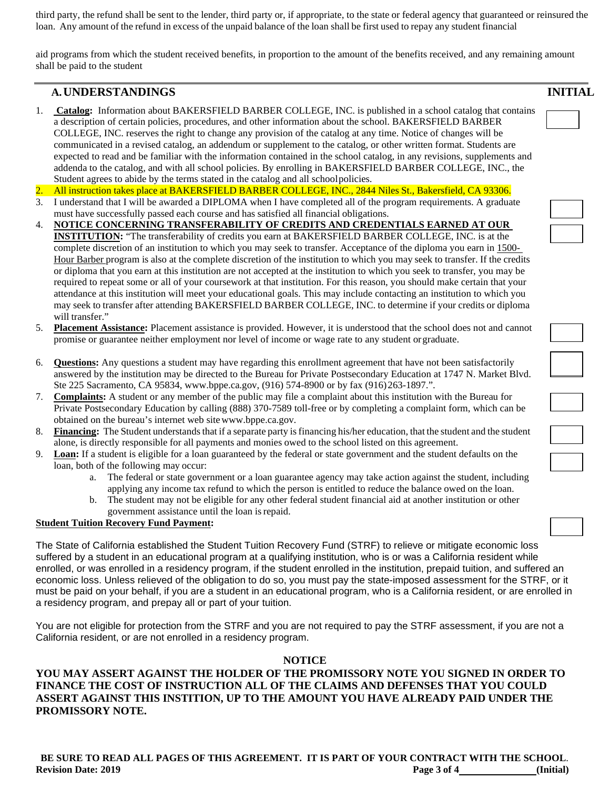third party, the refund shall be sent to the lender, third party or, if appropriate, to the state or federal agency that guaranteed or reinsured the loan. Any amount of the refund in excess of the unpaid balance of the loan shall be first used to repay any student financial

aid programs from which the student received benefits, in proportion to the amount of the benefits received, and any remaining amount shall be paid to the student

# **A.UNDERSTANDINGS INITIAL**

- 1. **Catalog:** Information about BAKERSFIELD BARBER COLLEGE, INC. is published in a school catalog that contains a description of certain policies, procedures, and other information about the school. BAKERSFIELD BARBER COLLEGE, INC. reserves the right to change any provision of the catalog at any time. Notice of changes will be communicated in a revised catalog, an addendum or supplement to the catalog, or other written format. Students are expected to read and be familiar with the information contained in the school catalog, in any revisions, supplements and addenda to the catalog, and with all school policies. By enrolling in BAKERSFIELD BARBER COLLEGE, INC., the Student agrees to abide by the terms stated in the catalog and all schoolpolicies.
- 2. All instruction takes place at BAKERSFIELD BARBER COLLEGE, INC., 2844 Niles St., Bakersfield, CA 93306.
- 3. I understand that I will be awarded a DIPLOMA when I have completed all of the program requirements. A graduate must have successfully passed each course and has satisfied all financial obligations.
- 4. **NOTICE CONCERNING TRANSFERABILITY OF CREDITS AND CREDENTIALS EARNED AT OUR INSTITUTION:** "The transferability of credits you earn at BAKERSFIELD BARBER COLLEGE, INC. is at the complete discretion of an institution to which you may seek to transfer. Acceptance of the diploma you earn in 1500-Hour Barber program is also at the complete discretion of the institution to which you may seek to transfer. If the credits or diploma that you earn at this institution are not accepted at the institution to which you seek to transfer, you may be required to repeat some or all of your coursework at that institution. For this reason, you should make certain that your attendance at this institution will meet your educational goals. This may include contacting an institution to which you may seek to transfer after attending BAKERSFIELD BARBER COLLEGE, INC. to determine if your credits or diploma will transfer."
- 5. **Placement Assistance:** Placement assistance is provided. However, it is understood that the school does not and cannot promise or guarantee neither employment nor level of income or wage rate to any student orgraduate.
- 6. **Questions:** Any questions a student may have regarding this enrollment agreement that have not been satisfactorily answered by the institution may be directed to the Bureau for Private Postsecondary Education at 1747 N. Market Blvd. Ste 225 Sacramento, CA 95834, [www.bppe.ca.gov,](http://www.bppe.ca.gov/) (916) 574-8900 or by fax (916)263-1897.".
- 7. **Complaints:** A student or any member of the public may file a complaint about this institution with the Bureau for Private Postsecondary Education by calling (888) 370-7589 toll-free or by completing a complaint form, which can be obtained on the bureau's internet web sit[ewww.bppe.ca.gov.](http://www.bppe.ca.gov/)
- 8. Financing: The Student understands that if a separate party is financing his/her education, that the student and the student alone, is directly responsible for all payments and monies owed to the school listed on this agreement.
- 9. **Loan:** If a student is eligible for a loan guaranteed by the federal or state government and the student defaults on the loan, both of the following may occur:
	- a. The federal or state government or a loan guarantee agency may take action against the student, including applying any income tax refund to which the person is entitled to reduce the balance owed on the loan.
	- b. The student may not be eligible for any other federal student financial aid at another institution or other government assistance until the loan isrepaid.

#### **Student Tuition Recovery Fund Payment:**

The State of California established the Student Tuition Recovery Fund (STRF) to relieve or mitigate economic loss suffered by a student in an educational program at a qualifying institution, who is or was a California resident while enrolled, or was enrolled in a residency program, if the student enrolled in the institution, prepaid tuition, and suffered an economic loss. Unless relieved of the obligation to do so, you must pay the state-imposed assessment for the STRF, or it must be paid on your behalf, if you are a student in an educational program, who is a California resident, or are enrolled in a residency program, and prepay all or part of your tuition.

You are not eligible for protection from the STRF and you are not required to pay the STRF assessment, if you are not a California resident, or are not enrolled in a residency program.

### **NOTICE**

# **YOU MAY ASSERT AGAINST THE HOLDER OF THE PROMISSORY NOTE YOU SIGNED IN ORDER TO FINANCE THE COST OF INSTRUCTION ALL OF THE CLAIMS AND DEFENSES THAT YOU COULD ASSERT AGAINST THIS INSTITION, UP TO THE AMOUNT YOU HAVE ALREADY PAID UNDER THE PROMISSORY NOTE.**